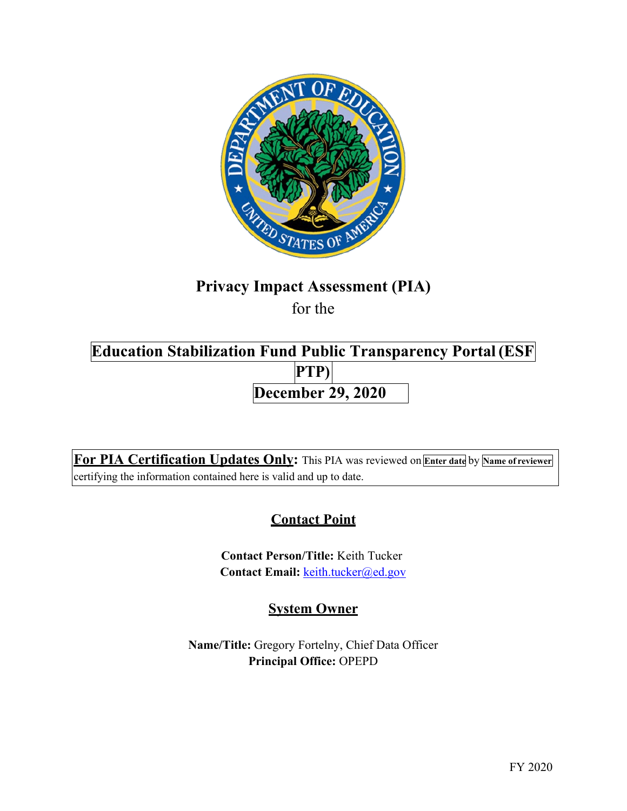

# **Privacy Impact Assessment (PIA)**

for the

# **Education Stabilization Fund Public Transparency Portal(ESF PTP) December 29, 2020**

**For PIA Certification Updates Only:** This PIA was reviewed on **Enter date** by **Name of reviewer** certifying the information contained here is valid and up to date.

# **Contact Point**

**Contact Person/Title:** Keith Tucker Contact Email: [keith.tucker@ed.gov](mailto:keith.tucker@ed.gov)

# **System Owner**

**Name/Title:** Gregory Fortelny, Chief Data Officer **Principal Office:** OPEPD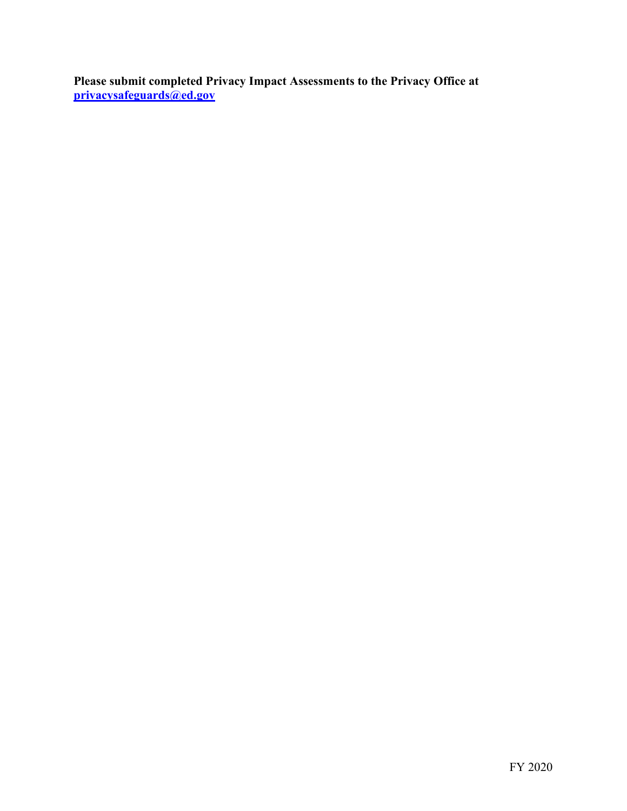**Please submit completed Privacy Impact Assessments to the Privacy Office at [privacysafeguards@ed.gov](mailto:privacysafeguards@ed.gov)**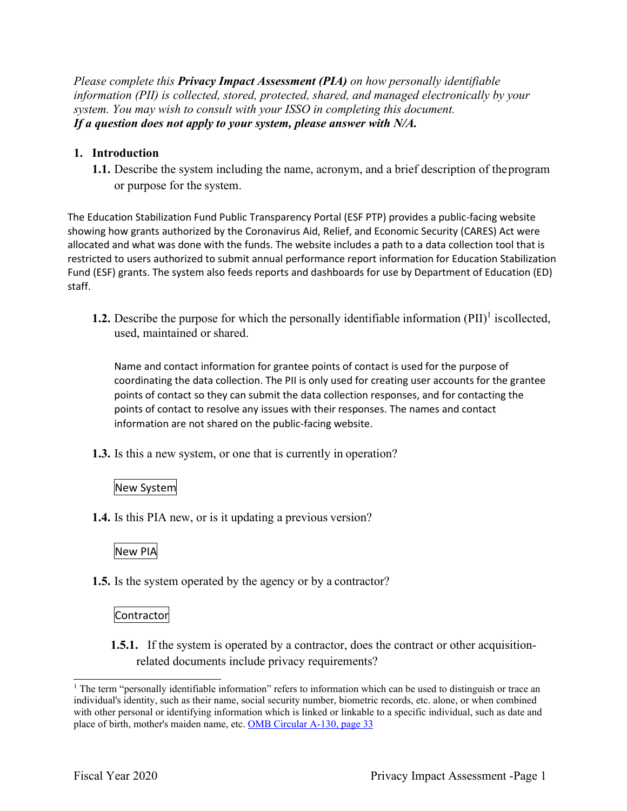*Please complete this Privacy Impact Assessment (PIA) on how personally identifiable information (PII) is collected, stored, protected, shared, and managed electronically by your system. You may wish to consult with your ISSO in completing this document. If a question does not apply to your system, please answer with N/A.* 

### **1. Introduction**

**1.1.** Describe the system including the name, acronym, and a brief description of the program or purpose for the system.

The Education Stabilization Fund Public Transparency Portal (ESF PTP) provides a public-facing website showing how grants authorized by the Coronavirus Aid, Relief, and Economic Security (CARES) Act were allocated and what was done with the funds. The website includes a path to a data collection tool that is restricted to users authorized to submit annual performance report information for Education Stabilization Fund (ESF) grants. The system also feeds reports and dashboards for use by Department of Education (ED) staff.

**1.2.** Describe the purpose for which the personally identifiable information  $(PII)^1$  iscollected, used, maintained or shared.

Name and contact information for grantee points of contact is used for the purpose of coordinating the data collection. The PII is only used for creating user accounts for the grantee points of contact so they can submit the data collection responses, and for contacting the points of contact to resolve any issues with their responses. The names and contact information are not shared on the public-facing website.

**1.3.** Is this a new system, or one that is currently in operation?

#### New System

**1.4.** Is this PIA new, or is it updating a previous version?

## New PIA

**1.5.** Is the system operated by the agency or by a contractor?

### Contractor

**1.5.1.** If the system is operated by a contractor, does the contract or other acquisitionrelated documents include privacy requirements?

<sup>&</sup>lt;sup>1</sup> The term "personally identifiable information" refers to information which can be used to distinguish or trace an individual's identity, such as their name, social security number, biometric records, etc. alone, or when combined with other personal or identifying information which is linked or linkable to a specific individual, such as date and place of birth, mother's maiden name, etc. [OMB Circular A-130, page 33](https://obamawhitehouse.archives.gov/sites/default/files/omb/assets/OMB/circulars/a130/a130revised.pdf)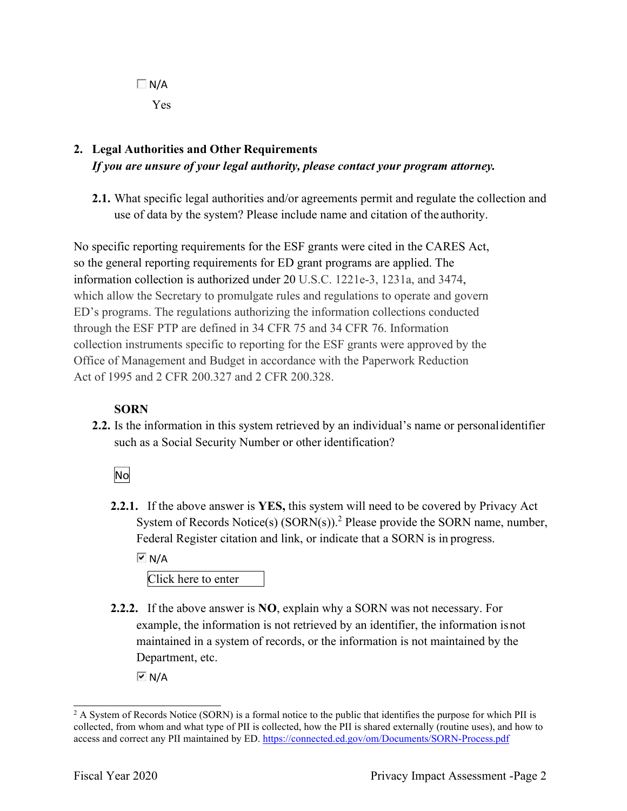$\Box$  N/A Yes

## **2. Legal Authorities and Other Requirements** *If you are unsure of your legal authority, please contact your program attorney.*

**2.1.** What specific legal authorities and/or agreements permit and regulate the collection and use of data by the system? Please include name and citation of the authority.

No specific reporting requirements for the ESF grants were cited in the CARES Act, so the general reporting requirements for ED grant programs are applied. The information collection is authorized under 20 U.S.C. 1221e-3, 1231a, and 3474, which allow the Secretary to promulgate rules and regulations to operate and govern ED's programs. The regulations authorizing the information collections conducted through the ESF PTP are defined in 34 CFR 75 and 34 CFR 76. Information collection instruments specific to reporting for the ESF grants were approved by the Office of Management and Budget in accordance with the Paperwork Reduction Act of 1995 and 2 CFR 200.327 and 2 CFR 200.328.

## **SORN**

**2.2.** Is the information in this system retrieved by an individual's name or personal identifier such as a Social Security Number or other identification?

## No

**2.2.1.** If the above answer is **YES,** this system will need to be covered by Privacy Act System of Records Notice(s)  $(SORN(s))$ .<sup>2</sup> Please provide the SORN name, number, Federal Register citation and link, or indicate that a SORN is in progress.

 $\overline{M}$  N/A

Click here to enter

**2.2.2.** If the above answer is **NO**, explain why a SORN was not necessary. For example, the information is not retrieved by an identifier, the information is not maintained in a system of records, or the information is not maintained by the Department, etc.

 $\overline{M}$  N/A

<sup>&</sup>lt;sup>2</sup> A System of Records Notice (SORN) is a formal notice to the public that identifies the purpose for which PII is collected, from whom and what type of PII is collected, how the PII is shared externally (routine uses), and how to access and correct any PII maintained by ED[. https://connected.ed.gov/om/Documents/SORN-Process.pdf](https://connected.ed.gov/om/Documents/SORN-Process.pdf)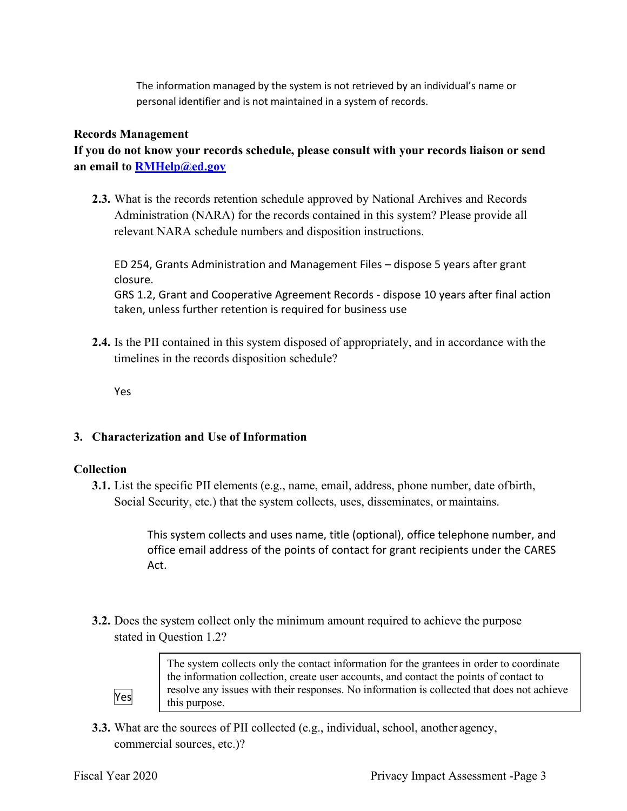The information managed by the system is not retrieved by an individual's name or personal identifier and is not maintained in a system of records.

#### **Records Management**

**If you do not know your records schedule, please consult with your records liaison or send an email to [RMHelp@ed.gov](mailto:RMHelp@ed.gov)**

**2.3.** What is the records retention schedule approved by National Archives and Records Administration (NARA) for the records contained in this system? Please provide all relevant NARA schedule numbers and disposition instructions.

ED 254, Grants Administration and Management Files – dispose 5 years after grant closure. GRS 1.2, Grant and Cooperative Agreement Records - dispose 10 years after final action taken, unless further retention is required for business use

**2.4.** Is the PII contained in this system disposed of appropriately, and in accordance with the timelines in the records disposition schedule?

Yes

### **3. Characterization and Use of Information**

### **Collection**

**3.1.** List the specific PII elements (e.g., name, email, address, phone number, date of birth, Social Security, etc.) that the system collects, uses, disseminates, or maintains.

> This system collects and uses name, title (optional), office telephone number, and office email address of the points of contact for grant recipients under the CARES Act.

**3.2.** Does the system collect only the minimum amount required to achieve the purpose stated in Question 1.2?



The system collects only the contact information for the grantees in order to coordinate the information collection, create user accounts, and contact the points of contact to resolve any issues with their responses. No information is collected that does not achieve this purpose.

**3.3.** What are the sources of PII collected (e.g., individual, school, another agency, commercial sources, etc.)?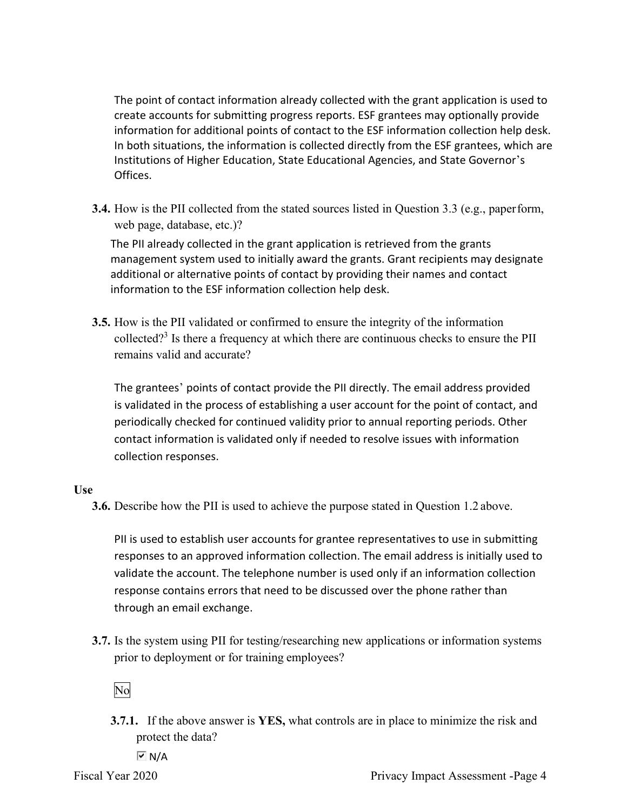The point of contact information already collected with the grant application is used to create accounts for submitting progress reports. ESF grantees may optionally provide information for additional points of contact to the ESF information collection help desk. In both situations, the information is collected directly from the ESF grantees, which are Institutions of Higher Education, State Educational Agencies, and State Governor's Offices.

**3.4.** How is the PII collected from the stated sources listed in Question 3.3 (e.g., paper form, web page, database, etc.)?

The PII already collected in the grant application is retrieved from the grants management system used to initially award the grants. Grant recipients may designate additional or alternative points of contact by providing their names and contact information to the ESF information collection help desk.

**3.5.** How is the PII validated or confirmed to ensure the integrity of the information collected?3 Is there a frequency at which there are continuous checks to ensure the PII remains valid and accurate?

The grantees' points of contact provide the PII directly. The email address provided is validated in the process of establishing a user account for the point of contact, and periodically checked for continued validity prior to annual reporting periods. Other contact information is validated only if needed to resolve issues with information collection responses.

#### **Use**

**3.6.** Describe how the PII is used to achieve the purpose stated in Question 1.2 above.

PII is used to establish user accounts for grantee representatives to use in submitting responses to an approved information collection. The email address is initially used to validate the account. The telephone number is used only if an information collection response contains errors that need to be discussed over the phone rather than through an email exchange.

**3.7.** Is the system using PII for testing/researching new applications or information systems prior to deployment or for training employees?

### No

**3.7.1.** If the above answer is **YES,** what controls are in place to minimize the risk and protect the data?

 $\overline{M}$  N/A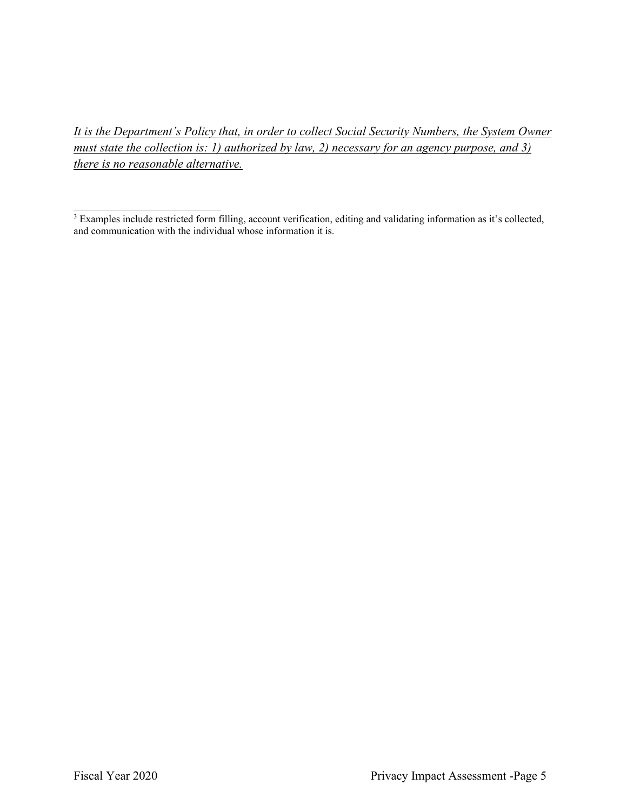*It is the Department's Policy that, in order to collect Social Security Numbers, the System Owner must state the collection is: 1) authorized by law, 2) necessary for an agency purpose, and 3) there is no reasonable alternative.* 

 $3$  Examples include restricted form filling, account verification, editing and validating information as it's collected, and communication with the individual whose information it is.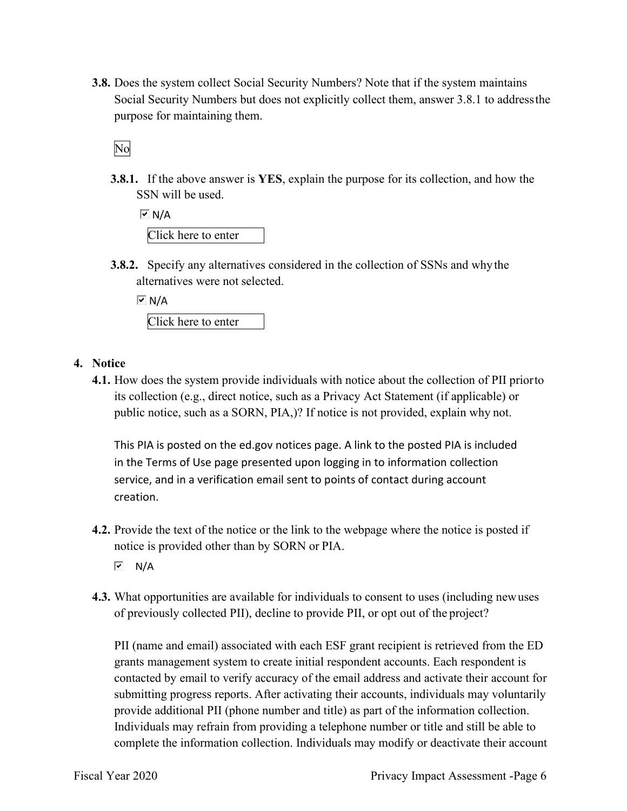**3.8.** Does the system collect Social Security Numbers? Note that if the system maintains Social Security Numbers but does not explicitly collect them, answer 3.8.1 to address the purpose for maintaining them.

No

**3.8.1.** If the above answer is **YES**, explain the purpose for its collection, and how the SSN will be used.

| $\overline{M}$ N/A  |  |
|---------------------|--|
| Click here to enter |  |

**3.8.2.** Specify any alternatives considered in the collection of SSNs and why the alternatives were not selected.

 $\overline{V}$  N/A

Click here to enter

### **4. Notice**

**4.1.** How does the system provide individuals with notice about the collection of PII prior to its collection (e.g., direct notice, such as a Privacy Act Statement (if applicable) or public notice, such as a SORN, PIA,)? If notice is not provided, explain why not.

This PIA is posted on the ed.gov notices page. A link to the posted PIA is included in the Terms of Use page presented upon logging in to information collection service, and in a verification email sent to points of contact during account creation.

**4.2.** Provide the text of the notice or the link to the webpage where the notice is posted if notice is provided other than by SORN or PIA.

 $\overline{M}$  N/A

**4.3.** What opportunities are available for individuals to consent to uses (including new uses of previously collected PII), decline to provide PII, or opt out of the project?

PII (name and email) associated with each ESF grant recipient is retrieved from the ED grants management system to create initial respondent accounts. Each respondent is contacted by email to verify accuracy of the email address and activate their account for submitting progress reports. After activating their accounts, individuals may voluntarily provide additional PII (phone number and title) as part of the information collection. Individuals may refrain from providing a telephone number or title and still be able to complete the information collection. Individuals may modify or deactivate their account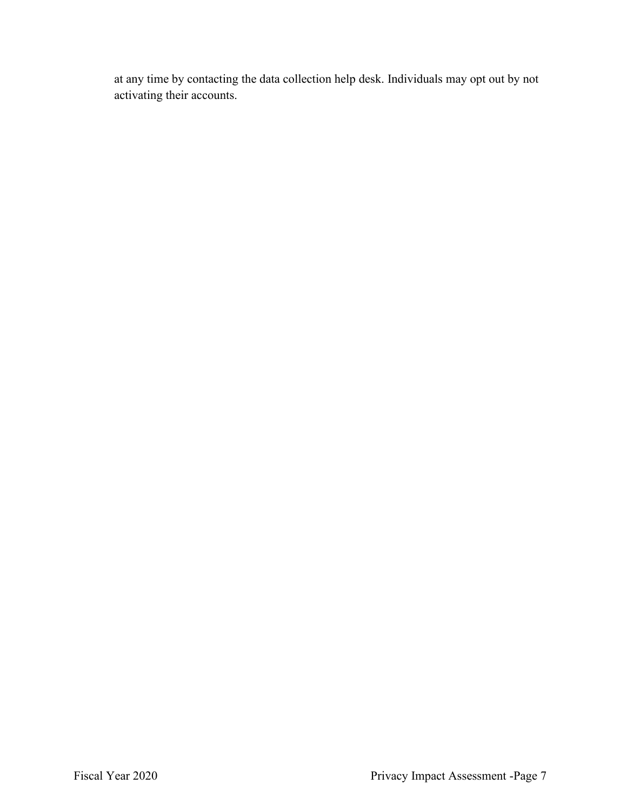at any time by contacting the data collection help desk. Individuals may opt out by not activating their accounts.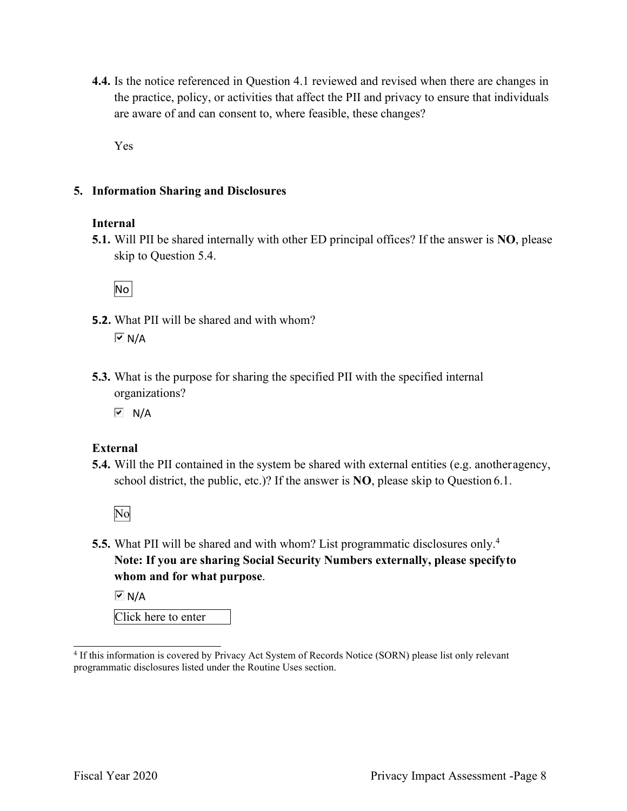**4.4.** Is the notice referenced in Question 4.1 reviewed and revised when there are changes in the practice, policy, or activities that affect the PII and privacy to ensure that individuals are aware of and can consent to, where feasible, these changes?

Yes

#### **5. Information Sharing and Disclosures**

#### **Internal**

**5.1.** Will PII be shared internally with other ED principal offices? If the answer is **NO**, please skip to Question 5.4.

No

- **5.2.** What PII will be shared and with whom?  $\overline{M}$  N/A
- **5.3.** What is the purpose for sharing the specified PII with the specified internal organizations?

 $\overline{M}$  N/A

### **External**

**5.4.** Will the PII contained in the system be shared with external entities (e.g. another agency, school district, the public, etc.)? If the answer is **NO**, please skip to Question 6.1.

No

**5.5.** What PII will be shared and with whom? List programmatic disclosures only.<sup>4</sup> **Note: If you are sharing Social Security Numbers externally, please specifyto whom and for what purpose**.

 $\overline{M}$  N/A

Click here to enter

<sup>4</sup> If this information is covered by Privacy Act System of Records Notice (SORN) please list only relevant programmatic disclosures listed under the Routine Uses section.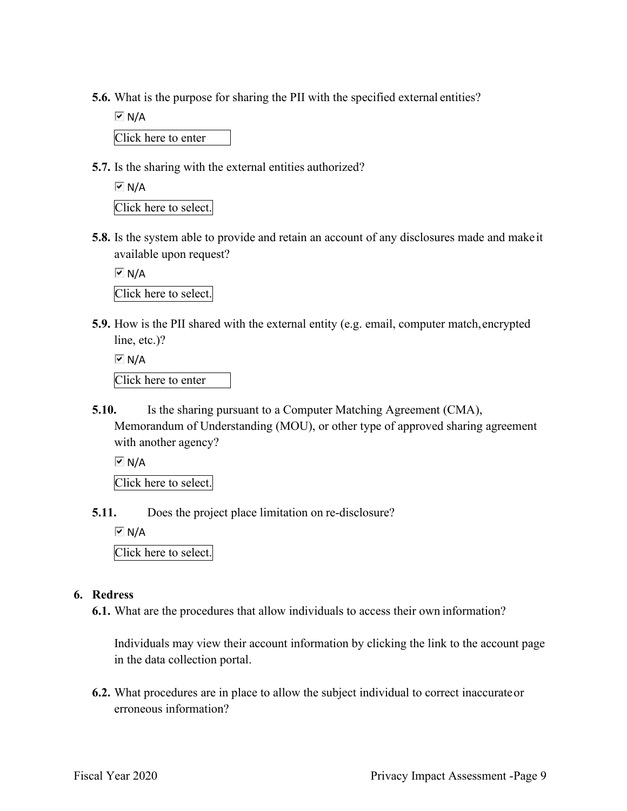**5.6.** What is the purpose for sharing the PII with the specified external entities?

 $\overline{M}$  N/A

Click here to enter

**5.7.** Is the sharing with the external entities authorized?

```
\overline{M} N/A
```
Click here to select.

**5.8.** Is the system able to provide and retain an account of any disclosures made and make it available upon request?

 $\overline{M}$  N/A Click here to select.

**5.9.** How is the PII shared with the external entity (e.g. email, computer match, encrypted line, etc.)?

Click here to enter  $\overline{M}$  N/A

**5.10.** Is the sharing pursuant to a Computer Matching Agreement (CMA), Memorandum of Understanding (MOU), or other type of approved sharing agreement with another agency?

 $\overline{M}$  N/A

Click here to select.

**5.11.** Does the project place limitation on re-disclosure?

 $\overline{M}$  N/A

Click here to select.

#### **6. Redress**

**6.1.** What are the procedures that allow individuals to access their own information?

Individuals may view their account information by clicking the link to the account page in the data collection portal.

**6.2.** What procedures are in place to allow the subject individual to correct inaccurate or erroneous information?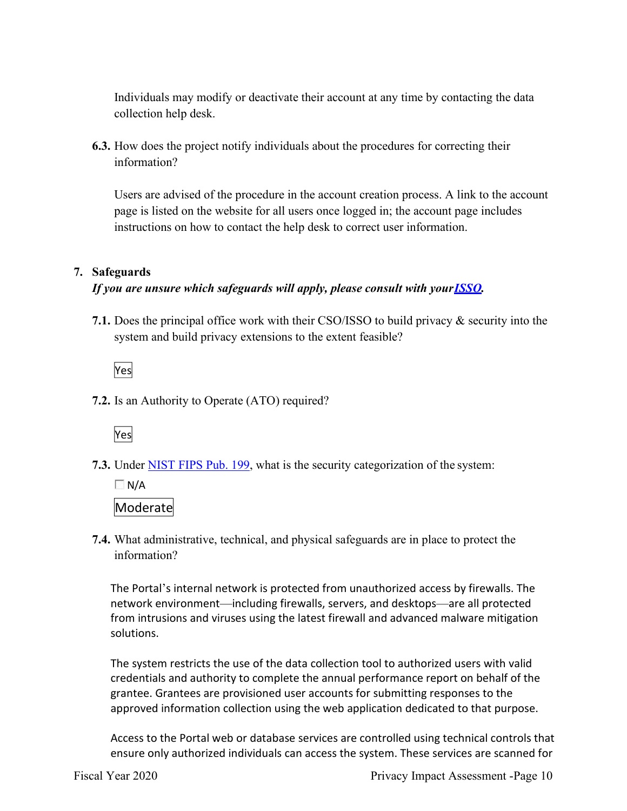Individuals may modify or deactivate their account at any time by contacting the data collection help desk.

**6.3.** How does the project notify individuals about the procedures for correcting their information?

Users are advised of the procedure in the account creation process. A link to the account page is listed on the website for all users once logged in; the account page includes instructions on how to contact the help desk to correct user information.

### **7. Safeguards**

## *If you are unsure which safeguards will apply, please consult with you[rISSO.](https://share.ed.gov/teams/OCIO/IA/SEA/SEA_Collab/SitePages/ED%20ISSOs.aspx)*

**7.1.** Does the principal office work with their CSO/ISSO to build privacy & security into the system and build privacy extensions to the extent feasible?

Yes

**7.2.** Is an Authority to Operate (ATO) required?



**7.3.** Under [NIST FIPS Pub. 199,](https://nvlpubs.nist.gov/nistpubs/FIPS/NIST.FIPS.199.pdf) what is the security categorization of the system:

 $\Box$  N/A Moderate

**7.4.** What administrative, technical, and physical safeguards are in place to protect the information?

The Portal's internal network is protected from unauthorized access by firewalls. The network environment—including firewalls, servers, and desktops—are all protected from intrusions and viruses using the latest firewall and advanced malware mitigation solutions.

The system restricts the use of the data collection tool to authorized users with valid credentials and authority to complete the annual performance report on behalf of the grantee. Grantees are provisioned user accounts for submitting responses to the approved information collection using the web application dedicated to that purpose.

Access to the Portal web or database services are controlled using technical controls that ensure only authorized individuals can access the system. These services are scanned for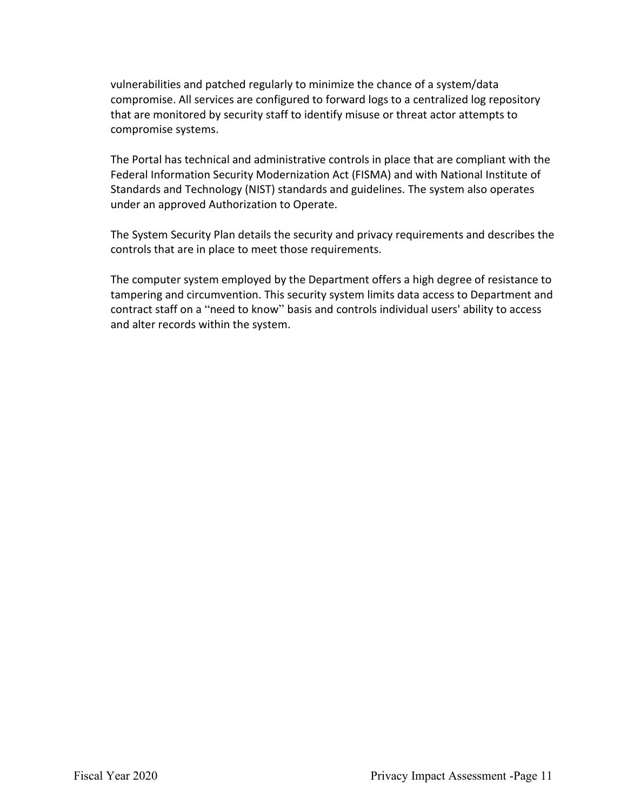vulnerabilities and patched regularly to minimize the chance of a system/data compromise. All services are configured to forward logs to a centralized log repository that are monitored by security staff to identify misuse or threat actor attempts to compromise systems.

The Portal has technical and administrative controls in place that are compliant with the Federal Information Security Modernization Act (FISMA) and with National Institute of Standards and Technology (NIST) standards and guidelines. The system also operates under an approved Authorization to Operate.

The System Security Plan details the security and privacy requirements and describes the controls that are in place to meet those requirements.

The computer system employed by the Department offers a high degree of resistance to tampering and circumvention. This security system limits data access to Department and contract staff on a "need to know" basis and controls individual users' ability to access and alter records within the system.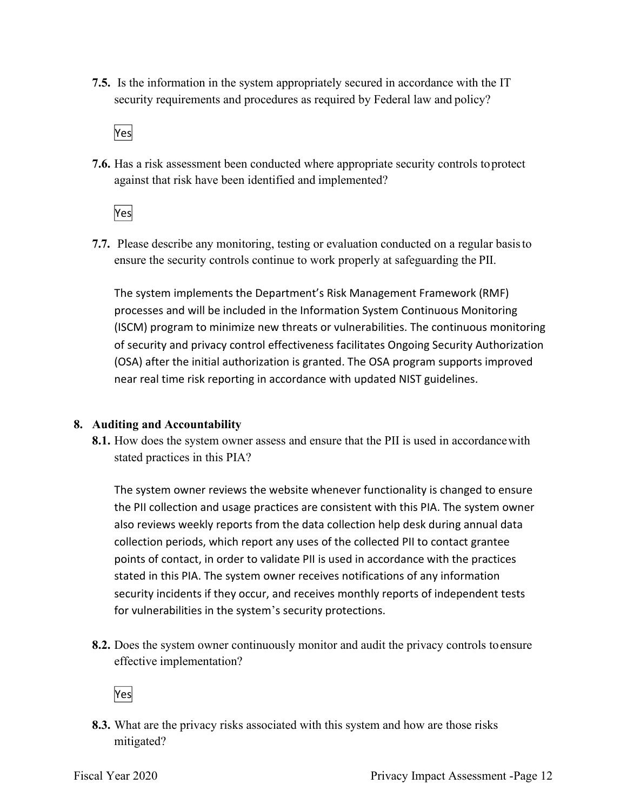**7.5.** Is the information in the system appropriately secured in accordance with the IT security requirements and procedures as required by Federal law and policy?

Yes

**7.6.** Has a risk assessment been conducted where appropriate security controls to protect against that risk have been identified and implemented?

Yes

**7.7.** Please describe any monitoring, testing or evaluation conducted on a regular basis to ensure the security controls continue to work properly at safeguarding the PII.

The system implements the Department's Risk Management Framework (RMF) processes and will be included in the Information System Continuous Monitoring (ISCM) program to minimize new threats or vulnerabilities. The continuous monitoring of security and privacy control effectiveness facilitates Ongoing Security Authorization (OSA) after the initial authorization is granted. The OSA program supports improved near real time risk reporting in accordance with updated NIST guidelines.

### **8. Auditing and Accountability**

**8.1.** How does the system owner assess and ensure that the PII is used in accordance with stated practices in this PIA?

The system owner reviews the website whenever functionality is changed to ensure the PII collection and usage practices are consistent with this PIA. The system owner also reviews weekly reports from the data collection help desk during annual data collection periods, which report any uses of the collected PII to contact grantee points of contact, in order to validate PII is used in accordance with the practices stated in this PIA. The system owner receives notifications of any information security incidents if they occur, and receives monthly reports of independent tests for vulnerabilities in the system's security protections.

**8.2.** Does the system owner continuously monitor and audit the privacy controls to ensure effective implementation?

Yes

**8.3.** What are the privacy risks associated with this system and how are those risks mitigated?